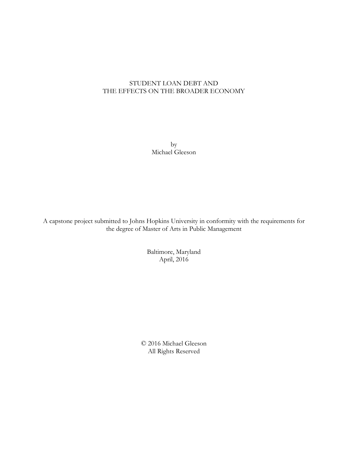## STUDENT LOAN DEBT AND THE EFFECTS ON THE BROADER ECONOMY

by Michael Gleeson

A capstone project submitted to Johns Hopkins University in conformity with the requirements for the degree of Master of Arts in Public Management

> Baltimore, Maryland April, 2016

© 2016 Michael Gleeson All Rights Reserved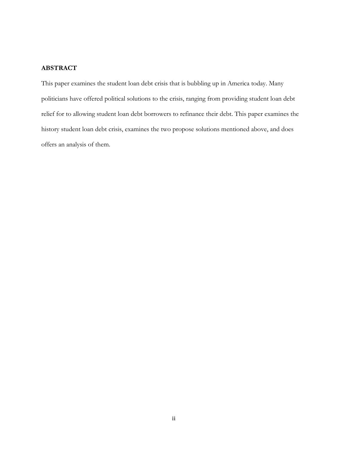### **ABSTRACT**

This paper examines the student loan debt crisis that is bubbling up in America today. Many politicians have offered political solutions to the crisis, ranging from providing student loan debt relief for to allowing student loan debt borrowers to refinance their debt. This paper examines the history student loan debt crisis, examines the two propose solutions mentioned above, and does offers an analysis of them.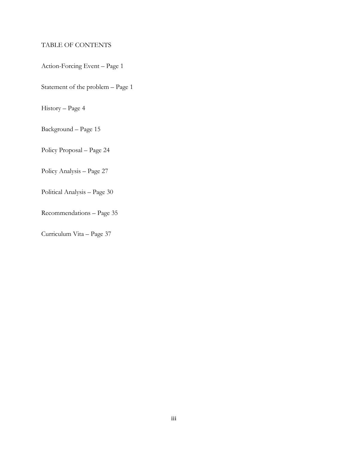## TABLE OF CONTENTS

Action-Forcing Event – Page 1

Statement of the problem – Page 1

History – Page 4

Background – Page 15

Policy Proposal – Page 24

Policy Analysis – Page 27

Political Analysis – Page 30

Recommendations – Page 35

Curriculum Vita – Page 37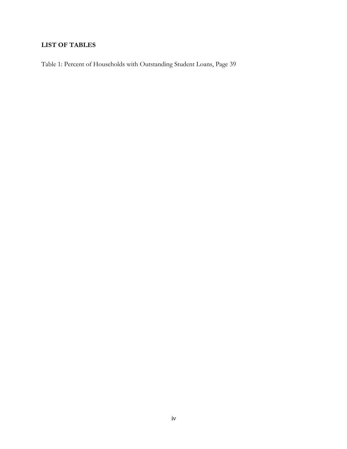# **LIST OF TABLES**

Table 1: Percent of Households with Outstanding Student Loans, Page 39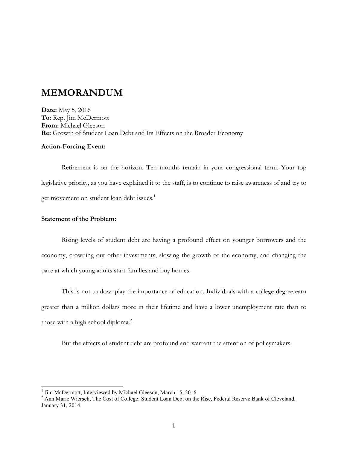# **MEMORANDUM**

**Date:** May 5, 2016 **To:** Rep. Jim McDermott **From:** Michael Gleeson **Re:** Growth of Student Loan Debt and Its Effects on the Broader Economy

### **Action-Forcing Event:**

Retirement is on the horizon. Ten months remain in your congressional term. Your top legislative priority, as you have explained it to the staff, is to continue to raise awareness of and try to get movement on student loan debt issues.<sup>1</sup>

## **Statement of the Problem:**

Rising levels of student debt are having a profound effect on younger borrowers and the economy, crowding out other investments, slowing the growth of the economy, and changing the pace at which young adults start families and buy homes.

This is not to downplay the importance of education. Individuals with a college degree earn greater than a million dollars more in their lifetime and have a lower unemployment rate than to those with a high school diploma.<sup>2</sup>

But the effects of student debt are profound and warrant the attention of policymakers.

<sup>&</sup>lt;sup>1</sup> Jim McDermott, Interviewed by Michael Gleeson, March 15, 2016.<br><sup>2</sup> Ann Marie Wiersch, The Cost of College: Student Loan Debt on the Rise, Federal Reserve Bank of Cleveland, January 31, 2014.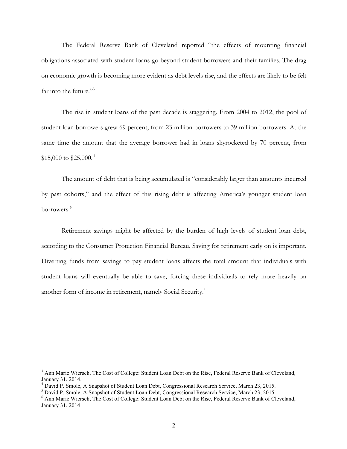The Federal Reserve Bank of Cleveland reported "the effects of mounting financial obligations associated with student loans go beyond student borrowers and their families. The drag on economic growth is becoming more evident as debt levels rise, and the effects are likely to be felt far into the future."<sup>3</sup>

The rise in student loans of the past decade is staggering. From 2004 to 2012, the pool of student loan borrowers grew 69 percent, from 23 million borrowers to 39 million borrowers. At the same time the amount that the average borrower had in loans skyrocketed by 70 percent, from \$15,000 to \$25,000. <sup>4</sup>

The amount of debt that is being accumulated is "considerably larger than amounts incurred by past cohorts," and the effect of this rising debt is affecting America's younger student loan borrowers.5

Retirement savings might be affected by the burden of high levels of student loan debt, according to the Consumer Protection Financial Bureau. Saving for retirement early on is important. Diverting funds from savings to pay student loans affects the total amount that individuals with student loans will eventually be able to save, forcing these individuals to rely more heavily on another form of income in retirement, namely Social Security.<sup>6</sup>

<sup>&</sup>lt;sup>3</sup> Ann Marie Wiersch, The Cost of College: Student Loan Debt on the Rise, Federal Reserve Bank of Cleveland, January 31, 2014.

<sup>4</sup> David P. Smole, A Snapshot of Student Loan Debt, Congressional Research Service, March 23, 2015.

<sup>5</sup> David P. Smole, A Snapshot of Student Loan Debt, Congressional Research Service, March 23, 2015.

<sup>6</sup> Ann Marie Wiersch, The Cost of College: Student Loan Debt on the Rise, Federal Reserve Bank of Cleveland, January 31, 2014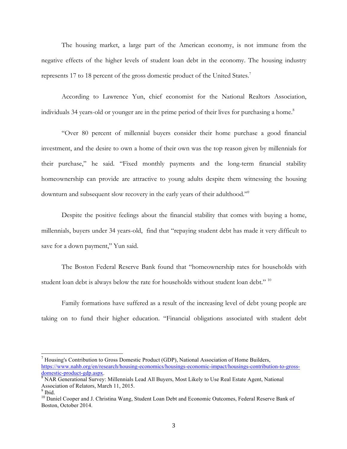The housing market, a large part of the American economy, is not immune from the negative effects of the higher levels of student loan debt in the economy. The housing industry represents 17 to 18 percent of the gross domestic product of the United States.<sup>7</sup>

According to Lawrence Yun, chief economist for the National Realtors Association, individuals 34 years-old or younger are in the prime period of their lives for purchasing a home.<sup>8</sup>

"Over 80 percent of millennial buyers consider their home purchase a good financial investment, and the desire to own a home of their own was the top reason given by millennials for their purchase," he said. "Fixed monthly payments and the long-term financial stability homeownership can provide are attractive to young adults despite them witnessing the housing downturn and subsequent slow recovery in the early years of their adulthood."9

Despite the positive feelings about the financial stability that comes with buying a home, millennials, buyers under 34 years-old, find that "repaying student debt has made it very difficult to save for a down payment," Yun said.

The Boston Federal Reserve Bank found that "homeownership rates for households with student loan debt is always below the rate for households without student loan debt."<sup>10</sup>

Family formations have suffered as a result of the increasing level of debt young people are taking on to fund their higher education. "Financial obligations associated with student debt

<sup>&</sup>lt;sup>7</sup> Housing's Contribution to Gross Domestic Product (GDP), National Association of Home Builders, https://www.nahb.org/en/research/housing-economics/housings-economic-impact/housings-contribution-to-grossdomestic-product-gdp.aspx.<br><sup>8</sup> NAR Generational Survey: Millennials Lead All Buyers, Most Likely to Use Real Estate Agent, National

Association of Relators, March 11, 2015.  $9$  Ibid.

<sup>&</sup>lt;sup>10</sup> Daniel Cooper and J. Christina Wang, Student Loan Debt and Economic Outcomes, Federal Reserve Bank of Boston, October 2014.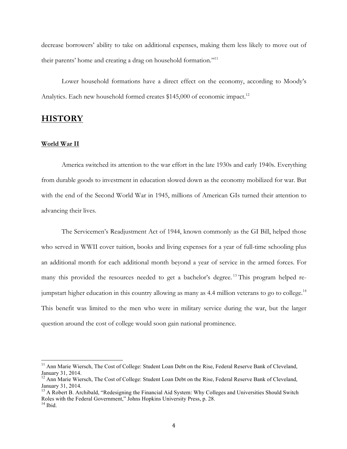decrease borrowers' ability to take on additional expenses, making them less likely to move out of their parents' home and creating a drag on household formation."11

Lower household formations have a direct effect on the economy, according to Moody's Analytics. Each new household formed creates \$145,000 of economic impact.<sup>12</sup>

## **HISTORY**

#### **World War II**

America switched its attention to the war effort in the late 1930s and early 1940s. Everything from durable goods to investment in education slowed down as the economy mobilized for war. But with the end of the Second World War in 1945, millions of American GIs turned their attention to advancing their lives.

The Servicemen's Readjustment Act of 1944, known commonly as the GI Bill, helped those who served in WWII cover tuition, books and living expenses for a year of full-time schooling plus an additional month for each additional month beyond a year of service in the armed forces. For many this provided the resources needed to get a bachelor's degree.<sup>13</sup> This program helped rejumpstart higher education in this country allowing as many as 4.4 million veterans to go to college.<sup>14</sup> This benefit was limited to the men who were in military service during the war, but the larger question around the cost of college would soon gain national prominence.

<sup>&</sup>lt;sup>11</sup> Ann Marie Wiersch, The Cost of College: Student Loan Debt on the Rise, Federal Reserve Bank of Cleveland, January 31, 2014.

<sup>&</sup>lt;sup>12</sup> Ann Marie Wiersch, The Cost of College: Student Loan Debt on the Rise, Federal Reserve Bank of Cleveland, January 31, 2014.<br><sup>13</sup> A Robert B. Archibald, "Redesigning the Financial Aid System: Why Colleges and Universities Should Switch

Roles with the Federal Government," Johns Hopkins University Press, p. 28.

 $14$  Ibid.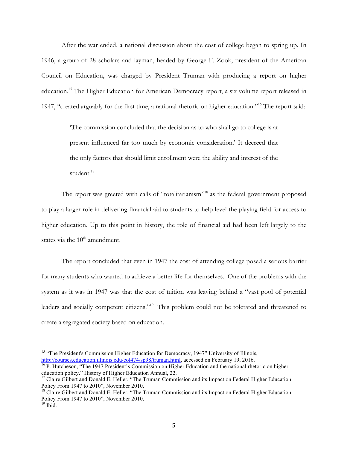After the war ended, a national discussion about the cost of college began to spring up. In 1946, a group of 28 scholars and layman, headed by George F. Zook, president of the American Council on Education, was charged by President Truman with producing a report on higher education.15 The Higher Education for American Democracy report, a six volume report released in 1947, "created arguably for the first time, a national rhetoric on higher education."16 The report said:

> 'The commission concluded that the decision as to who shall go to college is at present influenced far too much by economic consideration.' It decreed that the only factors that should limit enrollment were the ability and interest of the student.<sup>17</sup>

The report was greeted with calls of "totalitarianism"<sup>18</sup> as the federal government proposed to play a larger role in delivering financial aid to students to help level the playing field for access to higher education. Up to this point in history, the role of financial aid had been left largely to the states via the  $10^{th}$  amendment.

The report concluded that even in 1947 the cost of attending college posed a serious barrier for many students who wanted to achieve a better life for themselves. One of the problems with the system as it was in 1947 was that the cost of tuition was leaving behind a "vast pool of potential leaders and socially competent citizens."<sup>19</sup> This problem could not be tolerated and threatened to create a segregated society based on education.

<sup>&</sup>lt;sup>15</sup> "The President's Commission Higher Education for Democracy, 1947" University of Illinois, http://courses.education.illinois.edu/eol474/sp98/truman.html, accessed on February 19, 2016.<br><sup>16</sup> P. Hutcheson, "The 1947 President's Commission on Higher Education and the national rhetoric on higher

education policy." History of Higher Education Annual, 22.

<sup>&</sup>lt;sup>17</sup> Claire Gilbert and Donald E. Heller, "The Truman Commission and its Impact on Federal Higher Education Policy From 1947 to 2010", November 2010.

<sup>&</sup>lt;sup>18</sup> Claire Gilbert and Donald E. Heller, "The Truman Commission and its Impact on Federal Higher Education Policy From 1947 to 2010", November 2010.

 $19$  Ibid.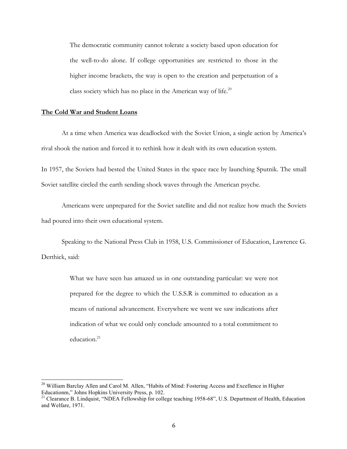The democratic community cannot tolerate a society based upon education for the well-to-do alone. If college opportunities are restricted to those in the higher income brackets, the way is open to the creation and perpetuation of a class society which has no place in the American way of life. $20$ 

### **The Cold War and Student Loans**

At a time when America was deadlocked with the Soviet Union, a single action by America's rival shook the nation and forced it to rethink how it dealt with its own education system.

In 1957, the Soviets had bested the United States in the space race by launching Sputnik. The small Soviet satellite circled the earth sending shock waves through the American psyche.

Americans were unprepared for the Soviet satellite and did not realize how much the Soviets had poured into their own educational system.

Speaking to the National Press Club in 1958, U.S. Commissioner of Education, Lawrence G. Derthick, said:

> What we have seen has amazed us in one outstanding particular: we were not prepared for the degree to which the U.S.S.R is committed to education as a means of national advancement. Everywhere we went we saw indications after indication of what we could only conclude amounted to a total commitment to education.<sup>21</sup>

<sup>&</sup>lt;sup>20</sup> William Barclay Allen and Carol M. Allen, "Habits of Mind: Fostering Access and Excellence in Higher Educationm," Johns Hopkins University Press, p. 102.

<sup>&</sup>lt;sup>21</sup> Clearance B. Lindquist, "NDEA Fellowship for college teaching 1958-68", U.S. Department of Health, Education and Welfare, 1971.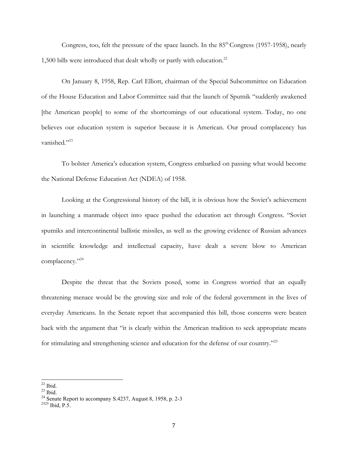Congress, too, felt the pressure of the space launch. In the  $85<sup>th</sup> Congress$  (1957-1958), nearly 1,500 bills were introduced that dealt wholly or partly with education.<sup>22</sup>

On January 8, 1958, Rep. Carl Elliott, chairman of the Special Subcommittee on Education of the House Education and Labor Committee said that the launch of Sputnik "suddenly awakened [the American people] to some of the shortcomings of our educational system. Today, no one believes our education system is superior because it is American. Our proud complacency has vanished."<sup>23</sup>

To bolster America's education system, Congress embarked on passing what would become the National Defense Education Act (NDEA) of 1958.

Looking at the Congressional history of the bill, it is obvious how the Soviet's achievement in launching a manmade object into space pushed the education act through Congress. "Soviet sputniks and intercontinental ballistic missiles, as well as the growing evidence of Russian advances in scientific knowledge and intellectual capacity, have dealt a severe blow to American complacency."<sup>24</sup>

Despite the threat that the Soviets posed, some in Congress worried that an equally threatening menace would be the growing size and role of the federal government in the lives of everyday Americans. In the Senate report that accompanied this bill, those concerns were beaten back with the argument that "it is clearly within the American tradition to seek appropriate means for stimulating and strengthening science and education for the defense of our country."25

<sup>&</sup>lt;sup>22</sup> Ibid. <sup>23</sup> Ibid. <sup>23</sup> Senate Report to accompany S.4237, August 8, 1958, p. 2-3 <sup>2525</sup> Ibid. P.5.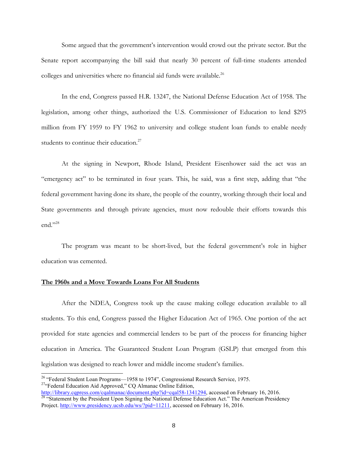Some argued that the government's intervention would crowd out the private sector. But the Senate report accompanying the bill said that nearly 30 percent of full-time students attended colleges and universities where no financial aid funds were available.<sup>26</sup>

In the end, Congress passed H.R. 13247, the National Defense Education Act of 1958. The legislation, among other things, authorized the U.S. Commissioner of Education to lend \$295 million from FY 1959 to FY 1962 to university and college student loan funds to enable needy students to continue their education.<sup>27</sup>

At the signing in Newport, Rhode Island, President Eisenhower said the act was an "emergency act" to be terminated in four years. This, he said, was a first step, adding that "the federal government having done its share, the people of the country, working through their local and State governments and through private agencies, must now redouble their efforts towards this end."28

The program was meant to be short-lived, but the federal government's role in higher education was cemented.

### **The 1960s and a Move Towards Loans For All Students**

After the NDEA, Congress took up the cause making college education available to all students. To this end, Congress passed the Higher Education Act of 1965. One portion of the act provided for state agencies and commercial lenders to be part of the process for financing higher education in America. The Guaranteed Student Loan Program (GSLP) that emerged from this legislation was designed to reach lower and middle income student's families.

<sup>&</sup>lt;sup>26</sup> "Federal Student Loan Programs—1958 to 1974", Congressional Research Service, 1975.<br><sup>27</sup>"Federal Education Aid Approved," CQ Almanac Online Edition,

http://library.cqpress.com/cqalmanac/document.php?id=cqal58-1341294, accessed on February 16, 2016.<br><sup>28</sup> "Statement by the President Upon Signing the National Defense Education Act." The American Presidency Project. http://www.presidency.ucsb.edu/ws/?pid=11211, accessed on February 16, 2016.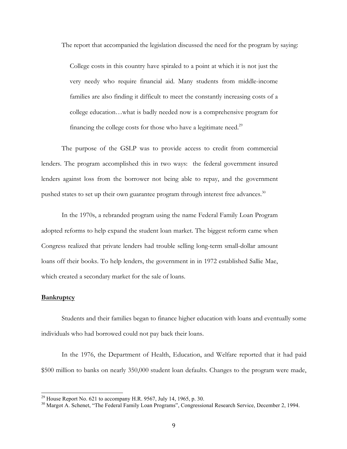The report that accompanied the legislation discussed the need for the program by saying:

College costs in this country have spiraled to a point at which it is not just the very needy who require financial aid. Many students from middle-income families are also finding it difficult to meet the constantly increasing costs of a college education…what is badly needed now is a comprehensive program for financing the college costs for those who have a legitimate need. $^{29}$ 

The purpose of the GSLP was to provide access to credit from commercial lenders. The program accomplished this in two ways: the federal government insured lenders against loss from the borrower not being able to repay, and the government pushed states to set up their own guarantee program through interest free advances.<sup>30</sup>

In the 1970s, a rebranded program using the name Federal Family Loan Program adopted reforms to help expand the student loan market. The biggest reform came when Congress realized that private lenders had trouble selling long-term small-dollar amount loans off their books. To help lenders, the government in in 1972 established Sallie Mae, which created a secondary market for the sale of loans.

#### **Bankruptcy**

Students and their families began to finance higher education with loans and eventually some individuals who had borrowed could not pay back their loans.

In the 1976, the Department of Health, Education, and Welfare reported that it had paid \$500 million to banks on nearly 350,000 student loan defaults. Changes to the program were made,

<sup>&</sup>lt;sup>29</sup> House Report No. 621 to accompany H.R. 9567, July 14, 1965, p. 30.<br><sup>30</sup> Margot A. Schenet, "The Federal Family Loan Programs", Congressional Research Service, December 2, 1994.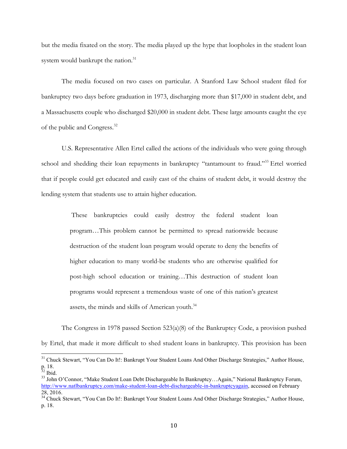but the media fixated on the story. The media played up the hype that loopholes in the student loan system would bankrupt the nation.<sup>31</sup>

The media focused on two cases on particular. A Stanford Law School student filed for bankruptcy two days before graduation in 1973, discharging more than \$17,000 in student debt, and a Massachusetts couple who discharged \$20,000 in student debt. These large amounts caught the eye of the public and Congress.32

U.S. Representative Allen Ertel called the actions of the individuals who were going through school and shedding their loan repayments in bankruptcy "tantamount to fraud."<sup>33</sup> Ertel worried that if people could get educated and easily cast of the chains of student debt, it would destroy the lending system that students use to attain higher education.

> These bankruptcies could easily destroy the federal student loan program…This problem cannot be permitted to spread nationwide because destruction of the student loan program would operate to deny the benefits of higher education to many world-be students who are otherwise qualified for post-high school education or training…This destruction of student loan programs would represent a tremendous waste of one of this nation's greatest assets, the minds and skills of American youth.<sup>34</sup>

The Congress in 1978 passed Section 523(a)(8) of the Bankruptcy Code, a provision pushed by Ertel, that made it more difficult to shed student loans in bankruptcy. This provision has been

<sup>&</sup>lt;sup>31</sup> Chuck Stewart, "You Can Do It!: Bankrupt Your Student Loans And Other Discharge Strategies," Author House, p. 18.<br><sup>32</sup> Ibid.

<sup>&</sup>lt;sup>33</sup> John O'Connor, "Make Student Loan Debt Dischargeable In Bankruptcy...Again," National Bankruptcy Forum, http://www.natlbankruptcy.com/make-student-loan-debt-dischargeable-in-bankruptcyagain, accessed on February 28, 2016.

<sup>&</sup>lt;sup>34</sup> Chuck Stewart, "You Can Do It!: Bankrupt Your Student Loans And Other Discharge Strategies," Author House, p. 18.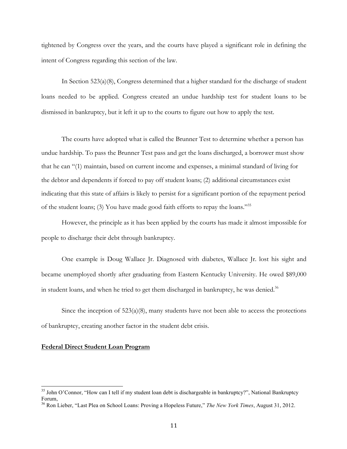tightened by Congress over the years, and the courts have played a significant role in defining the intent of Congress regarding this section of the law.

In Section 523(a)(8), Congress determined that a higher standard for the discharge of student loans needed to be applied. Congress created an undue hardship test for student loans to be dismissed in bankruptcy, but it left it up to the courts to figure out how to apply the test.

The courts have adopted what is called the Brunner Test to determine whether a person has undue hardship. To pass the Brunner Test pass and get the loans discharged, a borrower must show that he can "(1) maintain, based on current income and expenses, a minimal standard of living for the debtor and dependents if forced to pay off student loans; (2) additional circumstances exist indicating that this state of affairs is likely to persist for a significant portion of the repayment period of the student loans; (3) You have made good faith efforts to repay the loans."35

However, the principle as it has been applied by the courts has made it almost impossible for people to discharge their debt through bankruptcy.

One example is Doug Wallace Jr. Diagnosed with diabetes, Wallace Jr. lost his sight and became unemployed shortly after graduating from Eastern Kentucky University. He owed \$89,000 in student loans, and when he tried to get them discharged in bankruptcy, he was denied.<sup>36</sup>

Since the inception of  $523(a)(8)$ , many students have not been able to access the protections of bankruptcy, creating another factor in the student debt crisis.

### **Federal Direct Student Loan Program**

<sup>&</sup>lt;sup>35</sup> John O'Connor, "How can I tell if my student loan debt is dischargeable in bankruptcy?", National Bankruptcy Forum,

<sup>36</sup> Ron Lieber, "Last Plea on School Loans: Proving a Hopeless Future," *The New York Times*, August 31, 2012.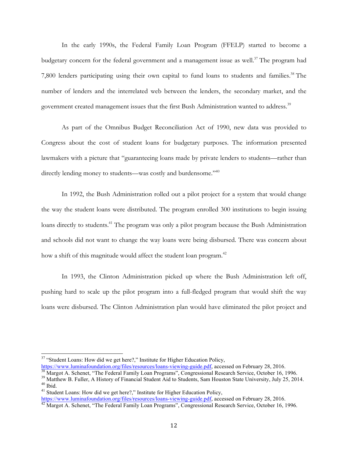In the early 1990s, the Federal Family Loan Program (FFELP) started to become a budgetary concern for the federal government and a management issue as well.<sup>37</sup> The program had 7,800 lenders participating using their own capital to fund loans to students and families.<sup>38</sup> The number of lenders and the interrelated web between the lenders, the secondary market, and the government created management issues that the first Bush Administration wanted to address.<sup>39</sup>

As part of the Omnibus Budget Reconciliation Act of 1990, new data was provided to Congress about the cost of student loans for budgetary purposes. The information presented lawmakers with a picture that "guaranteeing loans made by private lenders to students—rather than directly lending money to students—was costly and burdensome."<sup>40</sup>

In 1992, the Bush Administration rolled out a pilot project for a system that would change the way the student loans were distributed. The program enrolled 300 institutions to begin issuing loans directly to students.<sup>41</sup> The program was only a pilot program because the Bush Administration and schools did not want to change the way loans were being disbursed. There was concern about how a shift of this magnitude would affect the student loan program.<sup>42</sup>

In 1993, the Clinton Administration picked up where the Bush Administration left off, pushing hard to scale up the pilot program into a full-fledged program that would shift the way loans were disbursed. The Clinton Administration plan would have eliminated the pilot project and

<sup>&</sup>lt;sup>37</sup> "Student Loans: How did we get here?," Institute for Higher Education Policy,<br>https://www.luminafoundation.org/files/resources/loans-viewing-guide.pdf, accessed on February 28, 2016.

<sup>&</sup>lt;sup>38</sup> Margot A. Schenet, "The Federal Family Loan Programs", Congressional Research Service, October 16, 1996.<br><sup>39</sup> Matthew B. Fuller, A History of Financial Student Aid to Students, Sam Houston State University, July 25,

https://www.luminafoundation.org/files/resources/loans-viewing-guide.pdf, accessed on February 28, 2016.<br><sup>42</sup> Margot A. Schenet, "The Federal Family Loan Programs", Congressional Research Service, October 16, 1996.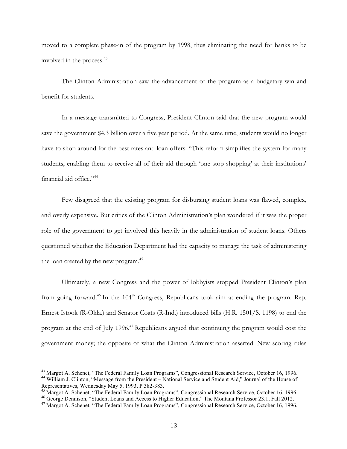moved to a complete phase-in of the program by 1998, thus eliminating the need for banks to be involved in the process.43

The Clinton Administration saw the advancement of the program as a budgetary win and benefit for students.

In a message transmitted to Congress, President Clinton said that the new program would save the government \$4.3 billion over a five year period. At the same time, students would no longer have to shop around for the best rates and loan offers. "This reform simplifies the system for many students, enabling them to receive all of their aid through 'one stop shopping' at their institutions' financial aid office."44

Few disagreed that the existing program for disbursing student loans was flawed, complex, and overly expensive. But critics of the Clinton Administration's plan wondered if it was the proper role of the government to get involved this heavily in the administration of student loans. Others questioned whether the Education Department had the capacity to manage the task of administering the loan created by the new program.<sup>45</sup>

Ultimately, a new Congress and the power of lobbyists stopped President Clinton's plan from going forward.<sup>46</sup> In the 104<sup>th</sup> Congress, Republicans took aim at ending the program. Rep. Ernest Istook (R-Okla.) and Senator Coats (R-Ind.) introduced bills (H.R. 1501/S. 1198) to end the program at the end of July 1996.47 Republicans argued that continuing the program would cost the government money; the opposite of what the Clinton Administration asserted. New scoring rules

<sup>&</sup>lt;sup>43</sup> Margot A. Schenet, "The Federal Family Loan Programs", Congressional Research Service, October 16, 1996.<br><sup>44</sup> William J. Clinton, "Message from the President – National Service and Student Aid," Journal of the House o Representatives, Wednesday May 5, 1993, P 382-383.<br><sup>45</sup> Margot A. Schenet, "The Federal Family Loan Programs", Congressional Research Service, October 16, 1996.<br><sup>46</sup> George Dennison, "Student Loans and Access to Higher Edu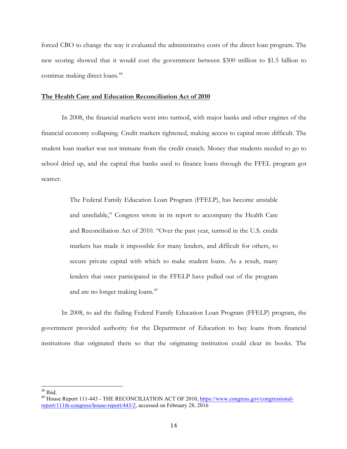forced CBO to change the way it evaluated the administrative costs of the direct loan program. The new scoring showed that it would cost the government between \$300 million to \$1.5 billion to continue making direct loans.<sup>48</sup>

### **The Health Care and Education Reconciliation Act of 2010**

In 2008, the financial markets went into turmoil, with major banks and other engines of the financial economy collapsing. Credit markets tightened, making access to capital more difficult. The student loan market was not immune from the credit crunch. Money that students needed to go to school dried up, and the capital that banks used to finance loans through the FFEL program got scarcer.

> The Federal Family Education Loan Program (FFELP), has become unstable and unreliable," Congress wrote in its report to accompany the Health Care and Reconciliation Act of 2010. "Over the past year, turmoil in the U.S. credit markets has made it impossible for many lenders, and difficult for others, to secure private capital with which to make student loans. As a result, many lenders that once participated in the FFELP have pulled out of the program and are no longer making loans.<sup>49</sup>

In 2008, to aid the flailing Federal Family Education Loan Program (FFELP) program, the government provided authority for the Department of Education to buy loans from financial institutions that originated them so that the originating institution could clear its books. The

<sup>&</sup>lt;sup>48</sup> Ibid.<br><sup>49</sup> House Report 111-443 - THE RECONCILIATION ACT OF 2010, https://www.congress.gov/congressionalreport/111th-congress/house-report/443/2, accessed on February 28, 2016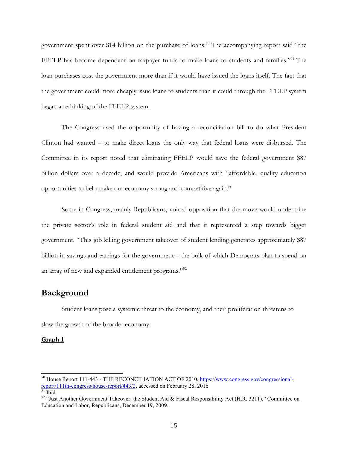government spent over \$14 billion on the purchase of loans.<sup>50</sup> The accompanying report said "the FFELP has become dependent on taxpayer funds to make loans to students and families."<sup>51</sup> The loan purchases cost the government more than if it would have issued the loans itself. The fact that the government could more cheaply issue loans to students than it could through the FFELP system began a rethinking of the FFELP system.

The Congress used the opportunity of having a reconciliation bill to do what President Clinton had wanted – to make direct loans the only way that federal loans were disbursed. The Committee in its report noted that eliminating FFELP would save the federal government \$87 billion dollars over a decade, and would provide Americans with "affordable, quality education opportunities to help make our economy strong and competitive again."

Some in Congress, mainly Republicans, voiced opposition that the move would undermine the private sector's role in federal student aid and that it represented a step towards bigger government. "This job killing government takeover of student lending generates approximately \$87 billion in savings and earrings for the government – the bulk of which Democrats plan to spend on an array of new and expanded entitlement programs."52

## **Background**

Student loans pose a systemic threat to the economy, and their proliferation threatens to slow the growth of the broader economy.

### **Graph 1**

<sup>&</sup>lt;sup>50</sup> House Report 111-443 - THE RECONCILIATION ACT OF 2010, https://www.congress.gov/congressionalreport/111th-congress/house-report/443/2, accessed on February 28, 2016<br>
<sup>51</sup> Ibid. 52 "Just Another Government Takeover: the Student Aid & Fiscal Responsibility Act (H.R. 3211)," Committee on

Education and Labor, Republicans, December 19, 2009.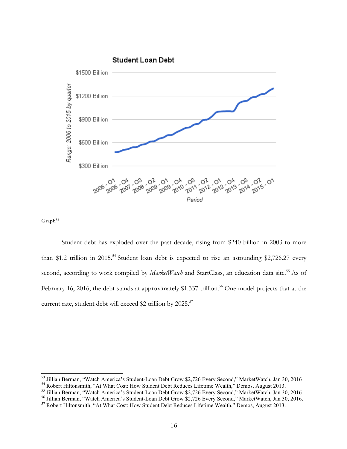

Graph<sup>53</sup>

Student debt has exploded over the past decade, rising from \$240 billion in 2003 to more than \$1.2 trillion in 2015.<sup>54</sup> Student loan debt is expected to rise an astounding \$2,726.27 every second, according to work compiled by *MarketWatch* and StartClass, an education data site.<sup>55</sup> As of February 16, 2016, the debt stands at approximately \$1.337 trillion.<sup>56</sup> One model projects that at the current rate, student debt will exceed \$2 trillion by 2025.<sup>57</sup>

<sup>&</sup>lt;sup>53</sup> Jillian Berman, "Watch America's Student-Loan Debt Grow \$2,726 Every Second," MarketWatch, Jan 30, 2016<br><sup>54</sup> Robert Hiltonsmith, "At What Cost: How Student Debt Reduces Lifetime Wealth," Demos, August 2013.<br><sup>55</sup> Jilli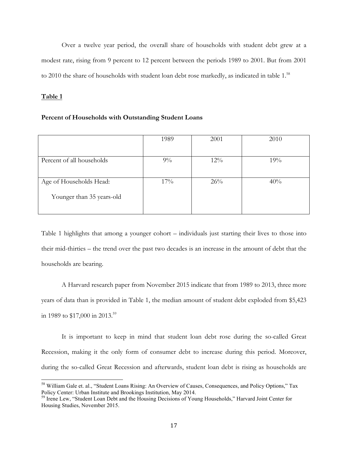Over a twelve year period, the overall share of households with student debt grew at a modest rate, rising from 9 percent to 12 percent between the periods 1989 to 2001. But from 2001 to 2010 the share of households with student loan debt rose markedly, as indicated in table 1.<sup>58</sup>

### **Table 1**

### **Percent of Households with Outstanding Student Loans**

|                           | 1989  | 2001   | 2010 |
|---------------------------|-------|--------|------|
|                           |       |        |      |
| Percent of all households | $9\%$ | $12\%$ | 19%  |
|                           |       |        |      |
| Age of Households Head:   | 17%   | 26%    | 40%  |
| Younger than 35 years-old |       |        |      |
|                           |       |        |      |

Table 1 highlights that among a younger cohort – individuals just starting their lives to those into their mid-thirties – the trend over the past two decades is an increase in the amount of debt that the households are bearing.

A Harvard research paper from November 2015 indicate that from 1989 to 2013, three more years of data than is provided in Table 1, the median amount of student debt exploded from \$5,423 in 1989 to \$17,000 in 2013.<sup>59</sup>

It is important to keep in mind that student loan debt rose during the so-called Great Recession, making it the only form of consumer debt to increase during this period. Moreover, during the so-called Great Recession and afterwards, student loan debt is rising as households are

 <sup>58</sup> William Gale et. al., "Student Loans Rising: An Overview of Causes, Consequences, and Policy Options," Tax Policy Center: Urban Institute and Brookings Institution, May 2014.

<sup>&</sup>lt;sup>59</sup> Irene Lew, "Student Loan Debt and the Housing Decisions of Young Households," Harvard Joint Center for Housing Studies, November 2015.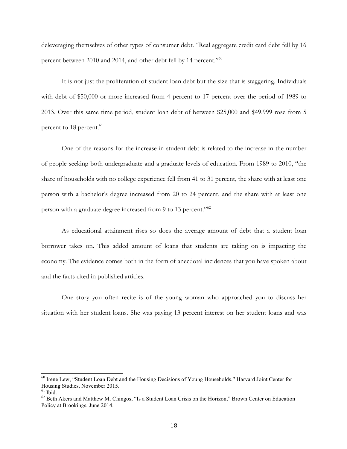deleveraging themselves of other types of consumer debt. "Real aggregate credit card debt fell by 16 percent between 2010 and 2014, and other debt fell by 14 percent."<sup>60</sup>

It is not just the proliferation of student loan debt but the size that is staggering. Individuals with debt of \$50,000 or more increased from 4 percent to 17 percent over the period of 1989 to 2013. Over this same time period, student loan debt of between \$25,000 and \$49,999 rose from 5 percent to 18 percent.<sup>61</sup>

One of the reasons for the increase in student debt is related to the increase in the number of people seeking both undergraduate and a graduate levels of education. From 1989 to 2010, "the share of households with no college experience fell from 41 to 31 percent, the share with at least one person with a bachelor's degree increased from 20 to 24 percent, and the share with at least one person with a graduate degree increased from 9 to 13 percent."62

As educational attainment rises so does the average amount of debt that a student loan borrower takes on. This added amount of loans that students are taking on is impacting the economy. The evidence comes both in the form of anecdotal incidences that you have spoken about and the facts cited in published articles.

One story you often recite is of the young woman who approached you to discuss her situation with her student loans. She was paying 13 percent interest on her student loans and was

<sup>&</sup>lt;sup>60</sup> Irene Lew, "Student Loan Debt and the Housing Decisions of Young Households," Harvard Joint Center for Housing Studies, November 2015.<br><sup>61</sup> Ibid.

<sup>&</sup>lt;sup>62</sup> Beth Akers and Matthew M. Chingos, "Is a Student Loan Crisis on the Horizon," Brown Center on Education Policy at Brookings, June 2014.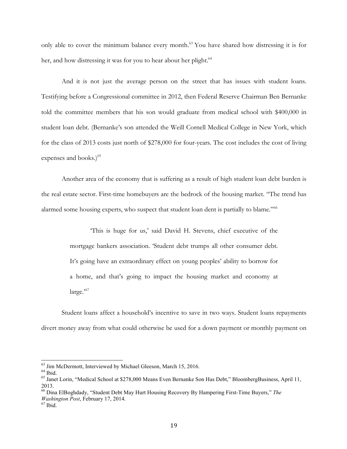only able to cover the minimum balance every month.<sup>63</sup> You have shared how distressing it is for her, and how distressing it was for you to hear about her plight.<sup>64</sup>

And it is not just the average person on the street that has issues with student loans. Testifying before a Congressional committee in 2012, then Federal Reserve Chairman Ben Bernanke told the committee members that his son would graduate from medical school with \$400,000 in student loan debt. (Bernanke's son attended the Weill Cornell Medical College in New York, which for the class of 2013 costs just north of \$278,000 for four-years. The cost includes the cost of living expenses and books.)<sup>65</sup>

Another area of the economy that is suffering as a result of high student loan debt burden is the real estate sector. First-time homebuyers are the bedrock of the housing market. "The trend has alarmed some housing experts, who suspect that student loan dent is partially to blame."<sup>66</sup>

> 'This is huge for us,' said David H. Stevens, chief executive of the mortgage bankers association. 'Student debt trumps all other consumer debt. It's going have an extraordinary effect on young peoples' ability to borrow for a home, and that's going to impact the housing market and economy at large."

Student loans affect a household's incentive to save in two ways. Student loans repayments divert money away from what could otherwise be used for a down payment or monthly payment on

<sup>&</sup>lt;sup>63</sup> Jim McDermott, Interviewed by Michael Gleeson, March 15, 2016.<br><sup>64</sup> Ibid. 65 Janet Lorin, "Medical School at \$278,000 Means Even Bernanke Son Has Debt," BloombergBusiness, April 11, 2013.

<sup>66</sup> Dina ElBoghdady, "Student Debt May Hurt Housing Recovery By Hampering First-Time Buyers," *The Washington Post*, February 17, 2014. <sup>67</sup> Ibid.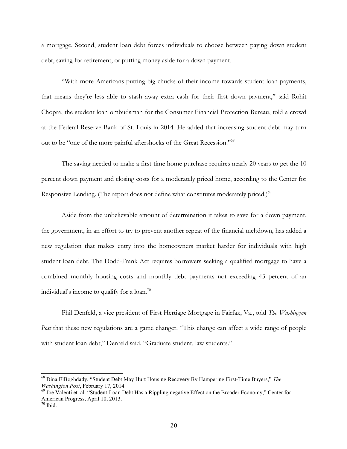a mortgage. Second, student loan debt forces individuals to choose between paying down student debt, saving for retirement, or putting money aside for a down payment.

"With more Americans putting big chucks of their income towards student loan payments, that means they're less able to stash away extra cash for their first down payment," said Rohit Chopra, the student loan ombudsman for the Consumer Financial Protection Bureau, told a crowd at the Federal Reserve Bank of St. Louis in 2014. He added that increasing student debt may turn out to be "one of the more painful aftershocks of the Great Recession."68

The saving needed to make a first-time home purchase requires nearly 20 years to get the 10 percent down payment and closing costs for a moderately priced home, according to the Center for Responsive Lending. (The report does not define what constitutes moderately priced.)<sup>69</sup>

Aside from the unbelievable amount of determination it takes to save for a down payment, the government, in an effort to try to prevent another repeat of the financial meltdown, has added a new regulation that makes entry into the homeowners market harder for individuals with high student loan debt. The Dodd-Frank Act requires borrowers seeking a qualified mortgage to have a combined monthly housing costs and monthly debt payments not exceeding 43 percent of an individual's income to qualify for a loan.<sup>70</sup>

Phil Denfeld, a vice president of First Hertiage Mortgage in Fairfax, Va., told *The Washington Post* that these new regulations are a game changer. "This change can affect a wide range of people with student loan debt," Denfeld said. "Graduate student, law students."

 <sup>68</sup> Dina ElBoghdady, "Student Debt May Hurt Housing Recovery By Hampering First-Time Buyers," *The* 

<sup>&</sup>lt;sup>69</sup> Joe Valenti et. al. "Student-Loan Debt Has a Rippling negative Effect on the Broader Economy," Center for American Progress, April 10, 2013.

 $70$  Ibid.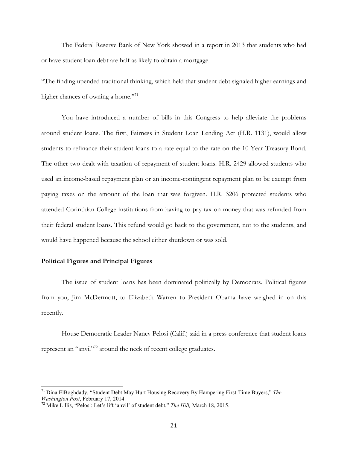The Federal Reserve Bank of New York showed in a report in 2013 that students who had or have student loan debt are half as likely to obtain a mortgage.

"The finding upended traditional thinking, which held that student debt signaled higher earnings and higher chances of owning a home."<sup>71</sup>

You have introduced a number of bills in this Congress to help alleviate the problems around student loans. The first, Fairness in Student Loan Lending Act (H.R. 1131), would allow students to refinance their student loans to a rate equal to the rate on the 10 Year Treasury Bond. The other two dealt with taxation of repayment of student loans. H.R. 2429 allowed students who used an income-based repayment plan or an income-contingent repayment plan to be exempt from paying taxes on the amount of the loan that was forgiven. H.R. 3206 protected students who attended Corinthian College institutions from having to pay tax on money that was refunded from their federal student loans. This refund would go back to the government, not to the students, and would have happened because the school either shutdown or was sold.

### **Political Figures and Principal Figures**

The issue of student loans has been dominated politically by Democrats. Political figures from you, Jim McDermott, to Elizabeth Warren to President Obama have weighed in on this recently.

House Democratic Leader Nancy Pelosi (Calif.) said in a press conference that student loans represent an "anvil"<sup>72</sup> around the neck of recent college graduates.

 <sup>71</sup> Dina ElBoghdady, "Student Debt May Hurt Housing Recovery By Hampering First-Time Buyers," *The Washington Post*, February 17, 2014.<br><sup>72</sup> Mike Lillis, "Pelosi: Let's lift 'anvil' of student debt," *The Hill, March 18, 2015.*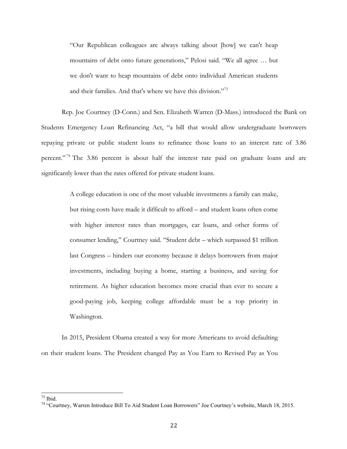"Our Republican colleagues are always talking about [how] we can't heap mountains of debt onto future generations," Pelosi said. "We all agree … but we don't want to heap mountains of debt onto individual American students and their families. And that's where we have this division."73

Rep. Joe Courtney (D-Conn.) and Sen. Elizabeth Warren (D-Mass.) introduced the Bank on Students Emergency Loan Refinancing Act, "a bill that would allow undergraduate borrowers repaying private or public student loans to refinance those loans to an interest rate of 3.86 percent."<sup>74</sup> The 3.86 percent is about half the interest rate paid on graduate loans and are significantly lower than the rates offered for private student loans.

> A college education is one of the most valuable investments a family can make, but rising costs have made it difficult to afford – and student loans often come with higher interest rates than mortgages, car loans, and other forms of consumer lending," Courtney said. "Student debt – which surpassed \$1 trillion last Congress – hinders our economy because it delays borrowers from major investments, including buying a home, starting a business, and saving for retirement. As higher education becomes more crucial than ever to secure a good-paying job, keeping college affordable must be a top priority in Washington.

In 2015, President Obama created a way for more Americans to avoid defaulting on their student loans. The President changed Pay as You Earn to Revised Pay as You

<sup>&</sup>lt;sup>73</sup> Ibid.<br><sup>74</sup> "Courtney, Warren Introduce Bill To Aid Student Loan Borrowers" Joe Courtney's website, March 18, 2015.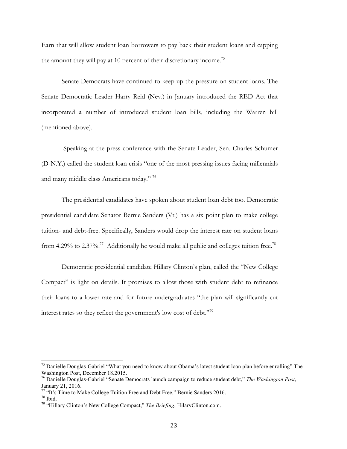Earn that will allow student loan borrowers to pay back their student loans and capping the amount they will pay at 10 percent of their discretionary income.<sup>75</sup>

Senate Democrats have continued to keep up the pressure on student loans. The Senate Democratic Leader Harry Reid (Nev.) in January introduced the RED Act that incorporated a number of introduced student loan bills, including the Warren bill (mentioned above).

Speaking at the press conference with the Senate Leader, Sen. Charles Schumer (D-N.Y.) called the student loan crisis "one of the most pressing issues facing millennials and many middle class Americans today." 76

The presidential candidates have spoken about student loan debt too. Democratic presidential candidate Senator Bernie Sanders (Vt.) has a six point plan to make college tuition- and debt-free. Specifically, Sanders would drop the interest rate on student loans from 4.29% to 2.37%.<sup>77</sup> Additionally he would make all public and colleges tuition free.<sup>78</sup>

Democratic presidential candidate Hillary Clinton's plan, called the "New College Compact" is light on details. It promises to allow those with student debt to refinance their loans to a lower rate and for future undergraduates "the plan will significantly cut interest rates so they reflect the government's low cost of debt."<sup>79</sup>

<sup>&</sup>lt;sup>75</sup> Danielle Douglas-Gabriel "What you need to know about Obama's latest student loan plan before enrolling" The Washington Post, December 18.2015.

<sup>76</sup> Danielle Douglas-Gabriel "Senate Democrats launch campaign to reduce student debt," *The Washington Post*, January 21, 2016.

<sup>&</sup>lt;sup>77</sup> "It's Time to Make College Tuition Free and Debt Free," Bernie Sanders 2016.<br><sup>78</sup> Ibid.<br><sup>79</sup> "Hillary Clinton's New College Compact," *The Briefing*, HilaryClinton.com.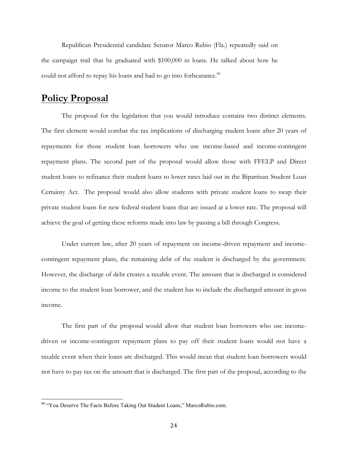Republican Presidential candidate Senator Marco Rubio (Fla.) repeatedly said on the campaign trail that he graduated with \$100,000 in loans. He talked about how he could not afford to repay his loans and had to go into forbearance.<sup>80</sup>

# **Policy Proposal**

The proposal for the legislation that you would introduce contains two distinct elements. The first element would combat the tax implications of discharging student loans after 20 years of repayments for those student loan borrowers who use income-based and income-contingent repayment plans. The second part of the proposal would allow those with FFELP and Direct student loans to refinance their student loans to lower rates laid out in the Bipartisan Student Loan Certainty Act. The proposal would also allow students with private student loans to swap their private student loans for new federal student loans that are issued at a lower rate. The proposal will achieve the goal of getting these reforms made into law by passing a bill through Congress.

Under current law, after 20 years of repayment on income-driven repayment and incomecontingent repayment plans, the remaining debt of the student is discharged by the government. However, the discharge of debt creates a taxable event. The amount that is discharged is considered income to the student loan borrower, and the student has to include the discharged amount in gross income.

The first part of the proposal would allow that student loan borrowers who use incomedriven or income-contingent repayment plans to pay off their student loans would not have a taxable event when their loans are discharged. This would mean that student loan borrowers would not have to pay tax on the amount that is discharged. The first part of the proposal, according to the

 <sup>80</sup> "You Deserve The Facts Before Taking Out Student Loans," MarcoRubio.com.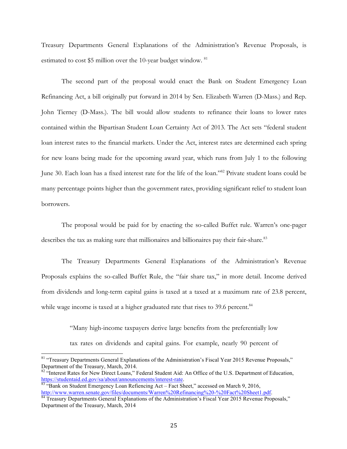Treasury Departments General Explanations of the Administration's Revenue Proposals, is estimated to cost \$5 million over the 10-year budget window. <sup>81</sup>

The second part of the proposal would enact the Bank on Student Emergency Loan Refinancing Act, a bill originally put forward in 2014 by Sen. Elizabeth Warren (D-Mass.) and Rep. John Tierney (D-Mass.). The bill would allow students to refinance their loans to lower rates contained within the Bipartisan Student Loan Certainty Act of 2013. The Act sets "federal student loan interest rates to the financial markets. Under the Act, interest rates are determined each spring for new loans being made for the upcoming award year, which runs from July 1 to the following June 30. Each loan has a fixed interest rate for the life of the loan."82 Private student loans could be many percentage points higher than the government rates, providing significant relief to student loan borrowers.

The proposal would be paid for by enacting the so-called Buffet rule. Warren's one-pager describes the tax as making sure that millionaires and billionaires pay their fair-share.<sup>83</sup>

The Treasury Departments General Explanations of the Administration's Revenue Proposals explains the so-called Buffet Rule, the "fair share tax," in more detail. Income derived from dividends and long-term capital gains is taxed at a taxed at a maximum rate of 23.8 percent, while wage income is taxed at a higher graduated rate that rises to 39.6 percent. $84$ 

> "Many high-income taxpayers derive large benefits from the preferentially low tax rates on dividends and capital gains. For example, nearly 90 percent of

<sup>&</sup>lt;sup>81</sup> "Treasury Departments General Explanations of the Administration's Fiscal Year 2015 Revenue Proposals," Department of the Treasury, March, 2014.

<sup>&</sup>lt;sup>82</sup> "Interest Rates for New Direct Loans," Federal Student Aid: An Office of the U.S. Department of Education, https://studentaid.ed.gov/sa/about/announcements/interest-rate.

 $\frac{1}{83}$  "Bank on Student Emergency Loan Refiencing Act – Fact Sheet," accessed on March 9, 2016,<br>http://www.warren.senate.gov/files/documents/Warren%20Refinancing%20-%20Fact%20Sheet1.pdf.

 $\frac{1}{84}$  Treasury Departments General Explanations of the Administration's Fiscal Year 2015 Revenue Proposals," Department of the Treasury, March, 2014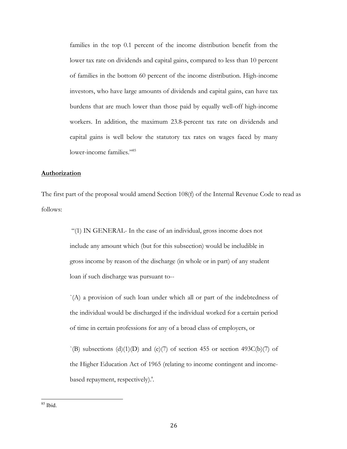families in the top 0.1 percent of the income distribution benefit from the lower tax rate on dividends and capital gains, compared to less than 10 percent of families in the bottom 60 percent of the income distribution. High-income investors, who have large amounts of dividends and capital gains, can have tax burdens that are much lower than those paid by equally well-off high-income workers. In addition, the maximum 23.8-percent tax rate on dividends and capital gains is well below the statutory tax rates on wages faced by many lower-income families."<sup>85</sup>

### **Authorization**

The first part of the proposal would amend Section 108(f) of the Internal Revenue Code to read as follows:

> "(1) IN GENERAL- In the case of an individual, gross income does not include any amount which (but for this subsection) would be includible in gross income by reason of the discharge (in whole or in part) of any student loan if such discharge was pursuant to--

`(A) a provision of such loan under which all or part of the indebtedness of the individual would be discharged if the individual worked for a certain period of time in certain professions for any of a broad class of employers, or

 $\Gamma(B)$  subsections (d)(1)(D) and (e)(7) of section 455 or section 493C(b)(7) of the Higher Education Act of 1965 (relating to income contingent and incomebased repayment, respectively).'.

 <sup>85</sup> Ibid.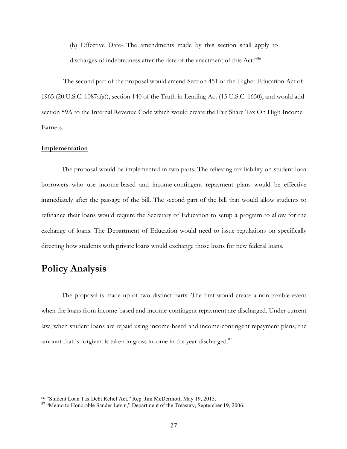(b) Effective Date- The amendments made by this section shall apply to discharges of indebtedness after the date of the enactment of this Act."<sup>86</sup>

The second part of the proposal would amend Section 451 of the Higher Education Act of 1965 (20 U.S.C. 1087a(a)), section 140 of the Truth in Lending Act (15 U.S.C. 1650), and would add section 59A to the Internal Revenue Code which would create the Fair Share Tax On High Income Earners.

#### **Implementation**

The proposal would be implemented in two parts. The relieving tax liability on student loan borrowers who use income-based and income-contingent repayment plans would be effective immediately after the passage of the bill. The second part of the bill that would allow students to refinance their loans would require the Secretary of Education to setup a program to allow for the exchange of loans. The Department of Education would need to issue regulations on specifically directing how students with private loans would exchange those loans for new federal loans.

# **Policy Analysis**

<u> 1989 - Johann Stein, marwolaethau a bh</u>

The proposal is made up of two distinct parts. The first would create a non-taxable event when the loans from income-based and income-contingent repayment are discharged. Under current law, when student loans are repaid using income-based and income-contingent repayment plans, the amount that is forgiven is taken in gross income in the year discharged.<sup>87</sup>

<sup>86 &</sup>quot;Student Loan Tax Debt Relief Act," Rep. Jim McDermott, May 19, 2015.<br><sup>87</sup> "Memo to Honorable Sander Levin," Department of the Treasury, September 19, 2006.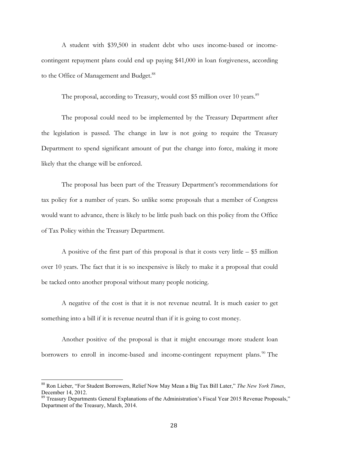A student with \$39,500 in student debt who uses income-based or incomecontingent repayment plans could end up paying \$41,000 in loan forgiveness, according to the Office of Management and Budget.<sup>88</sup>

The proposal, according to Treasury, would cost \$5 million over 10 years.<sup>89</sup>

The proposal could need to be implemented by the Treasury Department after the legislation is passed. The change in law is not going to require the Treasury Department to spend significant amount of put the change into force, making it more likely that the change will be enforced.

The proposal has been part of the Treasury Department's recommendations for tax policy for a number of years. So unlike some proposals that a member of Congress would want to advance, there is likely to be little push back on this policy from the Office of Tax Policy within the Treasury Department.

A positive of the first part of this proposal is that it costs very little  $-$  \$5 million over 10 years. The fact that it is so inexpensive is likely to make it a proposal that could be tacked onto another proposal without many people noticing.

A negative of the cost is that it is not revenue neutral. It is much easier to get something into a bill if it is revenue neutral than if it is going to cost money.

Another positive of the proposal is that it might encourage more student loan borrowers to enroll in income-based and income-contingent repayment plans.<sup>90</sup> The

 <sup>88</sup> Ron Lieber, "For Student Borrowers, Relief Now May Mean a Big Tax Bill Later," *The New York Times*, December 14, 2012.

<sup>&</sup>lt;sup>89</sup> Treasury Departments General Explanations of the Administration's Fiscal Year 2015 Revenue Proposals," Department of the Treasury, March, 2014.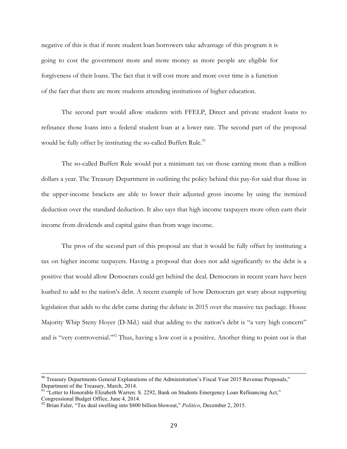negative of this is that if more student loan borrowers take advantage of this program it is going to cost the government more and more money as more people are eligible for forgiveness of their loans. The fact that it will cost more and more over time is a function of the fact that there are more students attending institutions of higher education.

The second part would allow students with FFELP, Direct and private student loans to refinance those loans into a federal student loan at a lower rate. The second part of the proposal would be fully offset by instituting the so-called Buffett Rule.<sup>91</sup>

The so-called Buffett Rule would put a minimum tax on those earning more than a million dollars a year. The Treasury Department in outlining the policy behind this pay-for said that those in the upper-income brackets are able to lower their adjusted gross income by using the itemized deduction over the standard deduction. It also says that high income taxpayers more often earn their income from dividends and capital gains than from wage income.

The pros of the second part of this proposal are that it would be fully offset by instituting a tax on higher income taxpayers. Having a proposal that does not add significantly to the debt is a positive that would allow Democrats could get behind the deal. Democrats in recent years have been loathed to add to the nation's debt. A recent example of how Democrats get wary about supporting legislation that adds to the debt came during the debate in 2015 over the massive tax package. House Majority Whip Steny Hoyer (D-Md.) said that adding to the nation's debt is "a very high concern" and is "very controversial."<sup>92</sup> Thus, having a low cost is a positive. Another thing to point out is that

<sup>&</sup>lt;sup>90</sup> Treasury Departments General Explanations of the Administration's Fiscal Year 2015 Revenue Proposals," Department of the Treasury, March, 2014.

<sup>&</sup>lt;sup>91</sup> "Letter to Honorable Elizabeth Warren: S. 2292, Bank on Students Emergency Loan Refinancing Act," Congressional Budget Office, June 4, 2014.

<sup>92</sup> Brian Faler, "Tax deal swelling into \$800 billion blowout," *Politico*, December 2, 2015.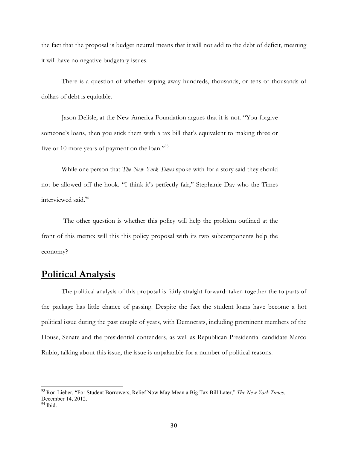the fact that the proposal is budget neutral means that it will not add to the debt of deficit, meaning it will have no negative budgetary issues.

There is a question of whether wiping away hundreds, thousands, or tens of thousands of dollars of debt is equitable.

Jason Delisle, at the New America Foundation argues that it is not. "You forgive someone's loans, then you stick them with a tax bill that's equivalent to making three or five or 10 more years of payment on the loan."<sup>93</sup>

While one person that *The New York Times* spoke with for a story said they should not be allowed off the hook. "I think it's perfectly fair," Stephanie Day who the Times interviewed said.<sup>94</sup>

The other question is whether this policy will help the problem outlined at the front of this memo: will this this policy proposal with its two subcomponents help the economy?

# **Political Analysis**

The political analysis of this proposal is fairly straight forward: taken together the to parts of the package has little chance of passing. Despite the fact the student loans have become a hot political issue during the past couple of years, with Democrats, including prominent members of the House, Senate and the presidential contenders, as well as Republican Presidential candidate Marco Rubio, talking about this issue, the issue is unpalatable for a number of political reasons.

 <sup>93</sup> Ron Lieber, "For Student Borrowers, Relief Now May Mean a Big Tax Bill Later," *The New York Times*, December 14, 2012.

 $94$  Ibid.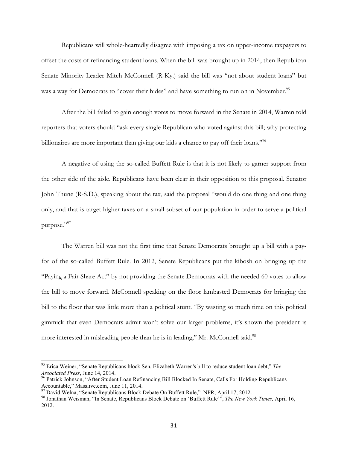Republicans will whole-heartedly disagree with imposing a tax on upper-income taxpayers to offset the costs of refinancing student loans. When the bill was brought up in 2014, then Republican Senate Minority Leader Mitch McConnell (R-Ky.) said the bill was "not about student loans" but was a way for Democrats to "cover their hides" and have something to run on in November.<sup>95</sup>

After the bill failed to gain enough votes to move forward in the Senate in 2014, Warren told reporters that voters should "ask every single Republican who voted against this bill; why protecting billionaires are more important than giving our kids a chance to pay off their loans."<sup>96</sup>

A negative of using the so-called Buffett Rule is that it is not likely to garner support from the other side of the aisle. Republicans have been clear in their opposition to this proposal. Senator John Thune (R-S.D.), speaking about the tax, said the proposal "would do one thing and one thing only, and that is target higher taxes on a small subset of our population in order to serve a political purpose."97

The Warren bill was not the first time that Senate Democrats brought up a bill with a payfor of the so-called Buffett Rule. In 2012, Senate Republicans put the kibosh on bringing up the "Paying a Fair Share Act" by not providing the Senate Democrats with the needed 60 votes to allow the bill to move forward. McConnell speaking on the floor lambasted Democrats for bringing the bill to the floor that was little more than a political stunt. "By wasting so much time on this political gimmick that even Democrats admit won't solve our larger problems, it's shown the president is more interested in misleading people than he is in leading," Mr. McConnell said.<sup>98</sup>

 <sup>95</sup> Erica Weiner, "Senate Republicans block Sen. Elizabeth Warren's bill to reduce student loan debt," *The* 

*Associated Press*, June 14, 2014.<br><sup>96</sup> Patrick Johnson, "After Student Loan Refinancing Bill Blocked In Senate, Calls For Holding Republicans Accountable," Masslive.com, June 11, 2014.<br><sup>97</sup> David Welna, "Senate Republicans Block Debate On Buffett Rule," NPR, April 17, 2012.

<sup>&</sup>lt;sup>98</sup> Jonathan Weisman, "In Senate, Republicans Block Debate on 'Buffett Rule'", *The New York Times*, April 16, 2012.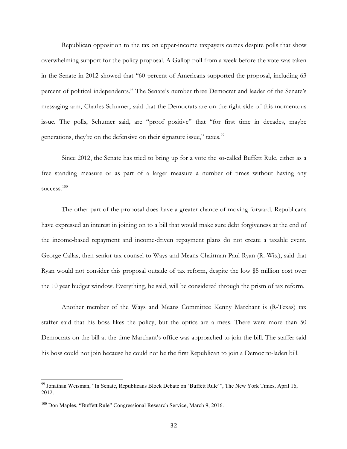Republican opposition to the tax on upper-income taxpayers comes despite polls that show overwhelming support for the policy proposal. A Gallop poll from a week before the vote was taken in the Senate in 2012 showed that "60 percent of Americans supported the proposal, including 63 percent of political independents." The Senate's number three Democrat and leader of the Senate's messaging arm, Charles Schumer, said that the Democrats are on the right side of this momentous issue. The polls, Schumer said, are "proof positive" that "for first time in decades, maybe generations, they're on the defensive on their signature issue," taxes.<sup>99</sup>

Since 2012, the Senate has tried to bring up for a vote the so-called Buffett Rule, either as a free standing measure or as part of a larger measure a number of times without having any success.<sup>100</sup>

The other part of the proposal does have a greater chance of moving forward. Republicans have expressed an interest in joining on to a bill that would make sure debt forgiveness at the end of the income-based repayment and income-driven repayment plans do not create a taxable event. George Callas, then senior tax counsel to Ways and Means Chairman Paul Ryan (R.-Wis.), said that Ryan would not consider this proposal outside of tax reform, despite the low \$5 million cost over the 10 year budget window. Everything, he said, will be considered through the prism of tax reform.

Another member of the Ways and Means Committee Kenny Marchant is (R-Texas) tax staffer said that his boss likes the policy, but the optics are a mess. There were more than 50 Democrats on the bill at the time Marchant's office was approached to join the bill. The staffer said his boss could not join because he could not be the first Republican to join a Democrat-laden bill.

 <sup>99</sup> Jonathan Weisman, "In Senate, Republicans Block Debate on 'Buffett Rule'", The New York Times, April 16, 2012.

<sup>&</sup>lt;sup>100</sup> Don Maples, "Buffett Rule" Congressional Research Service, March 9, 2016.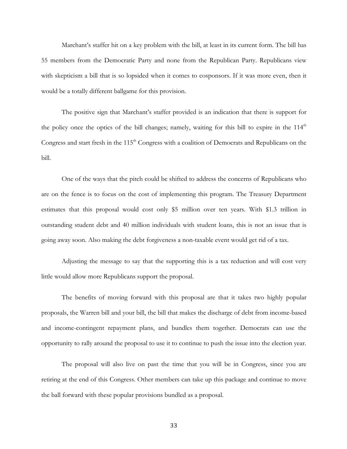Marchant's staffer hit on a key problem with the bill, at least in its current form. The bill has 55 members from the Democratic Party and none from the Republican Party. Republicans view with skepticism a bill that is so lopsided when it comes to cosponsors. If it was more even, then it would be a totally different ballgame for this provision.

The positive sign that Marchant's staffer provided is an indication that there is support for the policy once the optics of the bill changes; namely, waiting for this bill to expire in the  $114<sup>th</sup>$ Congress and start fresh in the 115<sup>th</sup> Congress with a coalition of Democrats and Republicans on the bill.

One of the ways that the pitch could be shifted to address the concerns of Republicans who are on the fence is to focus on the cost of implementing this program. The Treasury Department estimates that this proposal would cost only \$5 million over ten years. With \$1.3 trillion in outstanding student debt and 40 million individuals with student loans, this is not an issue that is going away soon. Also making the debt forgiveness a non-taxable event would get rid of a tax.

Adjusting the message to say that the supporting this is a tax reduction and will cost very little would allow more Republicans support the proposal.

The benefits of moving forward with this proposal are that it takes two highly popular proposals, the Warren bill and your bill, the bill that makes the discharge of debt from income-based and income-contingent repayment plans, and bundles them together. Democrats can use the opportunity to rally around the proposal to use it to continue to push the issue into the election year.

The proposal will also live on past the time that you will be in Congress, since you are retiring at the end of this Congress. Other members can take up this package and continue to move the ball forward with these popular provisions bundled as a proposal.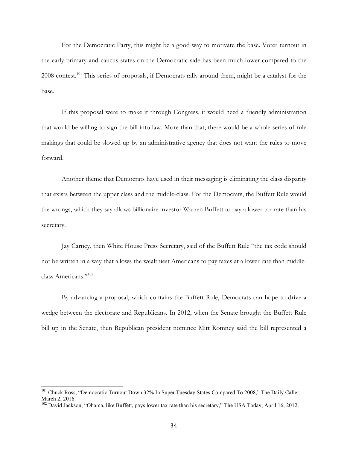For the Democratic Party, this might be a good way to motivate the base. Voter turnout in the early primary and caucus states on the Democratic side has been much lower compared to the 2008 contest.<sup>101</sup> This series of proposals, if Democrats rally around them, might be a catalyst for the base.

If this proposal were to make it through Congress, it would need a friendly administration that would be willing to sign the bill into law. More than that, there would be a whole series of rule makings that could be slowed up by an administrative agency that does not want the rules to move forward.

Another theme that Democrats have used in their messaging is eliminating the class disparity that exists between the upper class and the middle-class. For the Democrats, the Buffett Rule would the wrongs, which they say allows billionaire investor Warren Buffett to pay a lower tax rate than his secretary.

Jay Carney, then White House Press Secretary, said of the Buffett Rule "the tax code should not be written in a way that allows the wealthiest Americans to pay taxes at a lower rate than middleclass Americans."<sup>102</sup>

By advancing a proposal, which contains the Buffett Rule, Democrats can hope to drive a wedge between the electorate and Republicans. In 2012, when the Senate brought the Buffett Rule bill up in the Senate, then Republican president nominee Mitt Romney said the bill represented a

<sup>&</sup>lt;sup>101</sup> Chuck Ross, "Democratic Turnout Down 32% In Super Tuesday States Compared To 2008," The Daily Caller, March 2, 2016.

<sup>&</sup>lt;sup>102</sup> David Jackson, "Obama, like Buffett, pays lower tax rate than his secretary," The USA Today, April 16, 2012.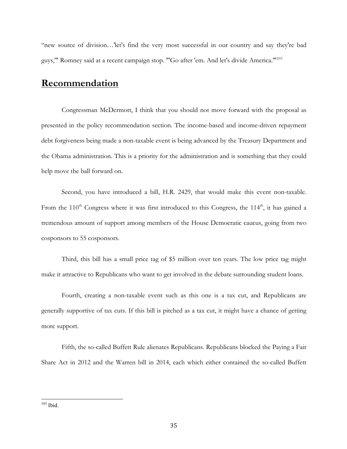"new source of division…'let's find the very most successful in our country and say they're bad guys,'" Romney said at a recent campaign stop. "'Go after 'em. And let's divide America.'"103

# **Recommendation**

Congressman McDermott, I think that you should not move forward with the proposal as presented in the policy recommendation section. The income-based and income-driven repayment debt forgiveness being made a non-taxable event is being advanced by the Treasury Department and the Obama administration. This is a priority for the administration and is something that they could help move the ball forward on.

Second, you have introduced a bill, H.R. 2429, that would make this event non-taxable. From the  $110<sup>th</sup>$  Congress where it was first introduced to this Congress, the  $114<sup>th</sup>$ , it has gained a tremendous amount of support among members of the House Democratic caucus, going from two cosponsors to 55 cosponsors.

Third, this bill has a small price tag of \$5 million over ten years. The low price tag might make it attractive to Republicans who want to get involved in the debate surrounding student loans.

Fourth, creating a non-taxable event such as this one is a tax cut, and Republicans are generally supportive of tax cuts. If this bill is pitched as a tax cut, it might have a chance of getting more support.

Fifth, the so-called Buffett Rule alienates Republicans. Republicans blocked the Paying a Fair Share Act in 2012 and the Warren bill in 2014, each which either contained the so-called Buffett

 <sup>103</sup> Ibid.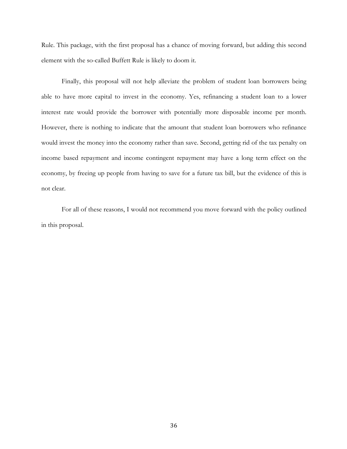Rule. This package, with the first proposal has a chance of moving forward, but adding this second element with the so-called Buffett Rule is likely to doom it.

Finally, this proposal will not help alleviate the problem of student loan borrowers being able to have more capital to invest in the economy. Yes, refinancing a student loan to a lower interest rate would provide the borrower with potentially more disposable income per month. However, there is nothing to indicate that the amount that student loan borrowers who refinance would invest the money into the economy rather than save. Second, getting rid of the tax penalty on income based repayment and income contingent repayment may have a long term effect on the economy, by freeing up people from having to save for a future tax bill, but the evidence of this is not clear.

For all of these reasons, I would not recommend you move forward with the policy outlined in this proposal.